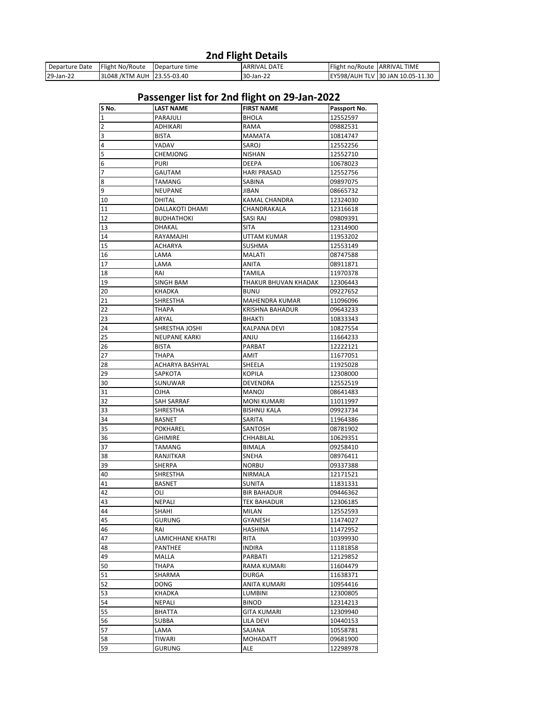## **2nd Flight Details**

| Departure Date | <b>Flight No/Route</b>       | Departure time | <b>ARRIVAL DATE</b> | Flight no/Route ARRIVAL | <b>TIME</b>                      |
|----------------|------------------------------|----------------|---------------------|-------------------------|----------------------------------|
| 29-Jan-22      | 3L048 / KTM AUH 123.55-03.40 |                | $\sim$<br>30-Jan-22 |                         | EY598/AUH TLV 30 JAN 10.05-11.30 |

## **Passenger list for 2nd flight on 29-Jan-2022**

| S No.          | <b>LAST NAME</b>     | <b>FIRST NAME</b>      | Passport No. |
|----------------|----------------------|------------------------|--------------|
| 1              | PARAJULI             | <b>BHOLA</b>           | 12552597     |
| $\overline{2}$ | ADHIKARI             | RAMA                   | 09882531     |
| 3              | <b>BISTA</b>         | <b>MAMATA</b>          | 10814747     |
| 4              | YADAV                | SAROJ                  | 12552256     |
| 5              | CHEMJONG             | NISHAN                 | 12552710     |
| 6              | <b>PURI</b>          | DEEPA                  | 10678023     |
| 7              | GAUTAM               | HARI PRASAD            | 12552756     |
| 8              | TAMANG               | SABINA                 | 09897075     |
| 9              | <b>NEUPANE</b>       | <b>JIBAN</b>           | 08665732     |
| 10             | DHITAL               | KAMAL CHANDRA          | 12324030     |
| 11             | DALLAKOTI DHAMI      | CHANDRAKALA            | 12316618     |
| 12             | <b>BUDHATHOKI</b>    | SASI RAJ               | 09809391     |
| 13             | DHAKAL               | <b>SITA</b>            | 12314900     |
| 14             | RAYAMAJHI            | UTTAM KUMAR            | 11953202     |
| 15             | ACHARYA              | SUSHMA                 | 12553149     |
| 16             | LAMA                 | MALATI                 | 08747588     |
| 17             | LAMA                 | ANITA                  | 08911871     |
| 18             | RAI                  | TAMILA                 | 11970378     |
| 19             | <b>SINGH BAM</b>     | THAKUR BHUVAN KHADAK   | 12306443     |
| 20             | KHADKA               | <b>BUNU</b>            | 09227652     |
| 21             | <b>SHRESTHA</b>      | MAHENDRA KUMAR         | 11096096     |
| 22             | <b>THAPA</b>         | <b>KRISHNA BAHADUR</b> | 09643233     |
| 23             | ARYAL                | BHAKTI                 | 10833343     |
| 24             | SHRESTHA JOSHI       | KALPANA DEVI           | 10827554     |
| 25             | <b>NEUPANE KARKI</b> | ANJU                   | 11664233     |
| 26             | <b>BISTA</b>         | PARBAT                 | 12222121     |
| 27             | THAPA                | AMIT                   | 11677051     |
| 28             | ACHARYA BASHYAL      | SHEELA                 | 11925028     |
| 29             | SAPKOTA              | <b>KOPILA</b>          | 12308000     |
| 30             | SUNUWAR              | DEVENDRA               | 12552519     |
| 31             | OJHA                 | MANOJ                  | 08641483     |
| 32             | SAH SARRAF           | MONI KUMARI            | 11011997     |
| 33             | SHRESTHA             | <b>BISHNU KALA</b>     | 09923734     |
| 34             | <b>BASNET</b>        | SARITA                 | 11964386     |
| 35             | POKHAREL             | SANTOSH                | 08781902     |
| 36             | <b>GHIMIRE</b>       | CHHABILAL              | 10629351     |
| 37             | <b>TAMANG</b>        | <b>BIMALA</b>          | 09258410     |
| 38             | <b>RANJITKAR</b>     | SNEHA                  | 08976411     |
| 39             | SHERPA               | <b>NORBU</b>           | 09337388     |
| 40             | SHRESTHA             | NIRMALA                | 12171521     |
| 41             | <b>BASNET</b>        | <b>SUNITA</b>          | 11831331     |
| 42             | OLI                  | <b>BIR BAHADUR</b>     | 09446362     |
| 43             | NEPALI               | TEK BAHADUR            | 12306185     |
| 44             | SHAHI                | MILAN                  | 12552593     |
| 45             | <b>GURUNG</b>        | GYANESH                | 11474027     |
| 46             | RAI                  | HASHINA                | 11472952     |
| 47             | LAMICHHANE KHATRI    | RITA                   | 10399930     |
| 48             | <b>PANTHEE</b>       | INDIRA                 | 11181858     |
| 49             | MALLA                | PARBATI                | 12129852     |
| 50             | THAPA                | RAMA KUMARI            | 11604479     |
| 51             | SHARMA               | <b>DURGA</b>           | 11638371     |
| 52             | <b>DONG</b>          | ANITA KUMARI           | 10954416     |
| 53             | KHADKA               | LUMBINI                | 12300805     |
| 54             | NEPALI               | <b>BINOD</b>           | 12314213     |
| 55             | <b>BHATTA</b>        | <b>GITA KUMARI</b>     | 12309940     |
| 56             | <b>SUBBA</b>         | LILA DEVI              | 10440153     |
| 57             | LAMA                 | SAJANA                 | 10558781     |
| 58             | TIWARI               | MOHADATT               | 09681900     |
| 59             | GURUNG               | ale                    | 12298978     |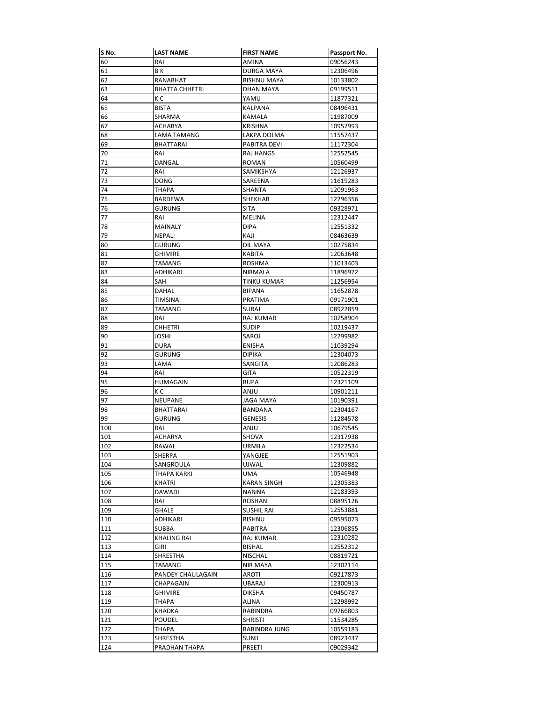| S No. | <b>LAST NAME</b>      | <b>FIRST NAME</b>  | Passport No. |
|-------|-----------------------|--------------------|--------------|
| 60    | RAI                   | AMINA              | 09056243     |
| 61    | ΒK                    | <b>DURGA MAYA</b>  | 12306496     |
| 62    | RANABHAT              | <b>BISHNU MAYA</b> | 10133802     |
| 63    | <b>BHATTA CHHETRI</b> | DHAN MAYA          | 09199511     |
| 64    | КC                    | YAMU               | 11877321     |
| 65    | <b>BISTA</b>          | KALPANA            | 08496431     |
| 66    | SHARMA                | KAMALA             | 11987009     |
| 67    | ACHARYA               | KRISHNA            | 10957993     |
| 68    | LAMA TAMANG           | LAKPA DOLMA        | 11557437     |
| 69    | BHATTARAI             | PABITRA DEVI       | 11172304     |
| 70    | RAI                   | RAJ HANGS          | 12552545     |
| 71    | DANGAL                | ROMAN              | 10560499     |
| 72    | RAI                   | SAMIKSHYA          | 12126937     |
| 73    | <b>DONG</b>           | SAREENA            | 11619283     |
| 74    | THAPA                 | SHANTA             | 12091963     |
| 75    | <b>BARDEWA</b>        | SHEKHAR            | 12296356     |
| 76    | GURUNG                | <b>SITA</b>        | 09328971     |
| 77    | RAI                   | MELINA             | 12312447     |
| 78    | <b>MAINALY</b>        | DIPA               | 12551332     |
| 79    | <b>NEPALI</b>         | KAJI               | 08463639     |
| 80    | GURUNG                | DIL MAYA           | 10275834     |
| 81    | <b>GHIMIRE</b>        | KABITA             | 12063648     |
| 82    | <b>TAMANG</b>         | <b>ROSHMA</b>      | 11013403     |
| 83    | ADHIKARI              | <b>NIRMALA</b>     | 11896972     |
| 84    | SAH                   | TINKU KUMAR        | 11256954     |
| 85    | DAHAL                 | BIPANA             | 11652878     |
| 86    | <b>TIMSINA</b>        | PRATIMA            | 09171901     |
| 87    | TAMANG                | <b>SURAJ</b>       | 08922859     |
| 88    | RAI                   | RAJ KUMAR          | 10758904     |
| 89    | <b>CHHETRI</b>        | <b>SUDIP</b>       | 10219437     |
| 90    | <b>JOSHI</b>          | SAROJ              | 12299982     |
| 91    | <b>DURA</b>           | <b>ENISHA</b>      | 11039294     |
| 92    | <b>GURUNG</b>         | DIPIKA             | 12304073     |
| 93    | LAMA                  | SANGITA            | 12086283     |
| 94    | RAI                   | GITA               | 10522319     |
| 95    | HUMAGAIN              | RUPA               | 12321109     |
| 96    | КC                    | ANJU               | 10901211     |
| 97    | NEUPANE               | <b>JAGA MAYA</b>   | 10190391     |
| 98    | <b>BHATTARAI</b>      | BANDANA            | 12304167     |
| 99    | <b>GURUNG</b>         | GENESIS            | 11284578     |
| 100   | RAI                   | ANJU               | 10679545     |
| 101   | <b>ACHARYA</b>        | SHOVA              | 12317938     |
| 102   | RAWAL                 | URMILA             | 12322534     |
| 103   | SHERPA                | YANGJEE            | 12551903     |
| 104   | SANGROULA             | UJWAL              | 12309882     |
| 105   | THAPA KARKI           | UMA                | 10546948     |
| 106   | KHATRI                | KARAN SINGH        | 12305383     |
| 107   | DAWADI                | <b>NABINA</b>      | 12183393     |
| 108   | RAI                   | ROSHAN             | 08895126     |
| 109   | GHALE                 | <b>SUSHIL RAI</b>  | 12553881     |
| 110   | ADHIKARI              | <b>BISHNU</b>      | 09595073     |
| 111   | <b>SUBBA</b>          | PABITRA            | 12306855     |
| 112   | <b>KHALING RAI</b>    | RAJ KUMAR          | 12310282     |
| 113   | GIRI                  | <b>BISHAL</b>      | 12552312     |
| 114   | SHRESTHA              | <b>NISCHAL</b>     | 08819721     |
| 115   | TAMANG                | NIR MAYA           | 12302114     |
| 116   | PANDEY CHAULAGAIN     | AROTI              | 09217873     |
| 117   | CHAPAGAIN             | UBARAJ             | 12300913     |
| 118   | <b>GHIMIRE</b>        | <b>DIKSHA</b>      | 09450787     |
| 119   | ТНАРА                 | ALINA              | 12298992     |
| 120   | KHADKA                | RABINDRA           | 09766803     |
| 121   | POUDEL                | <b>SHRISTI</b>     | 11534285     |
| 122   | THAPA                 | RABINDRA JUNG      | 10559183     |
| 123   | SHRESTHA              | <b>SUNIL</b>       | 08923437     |
| 124   | PRADHAN THAPA         | PREETI             | 09029342     |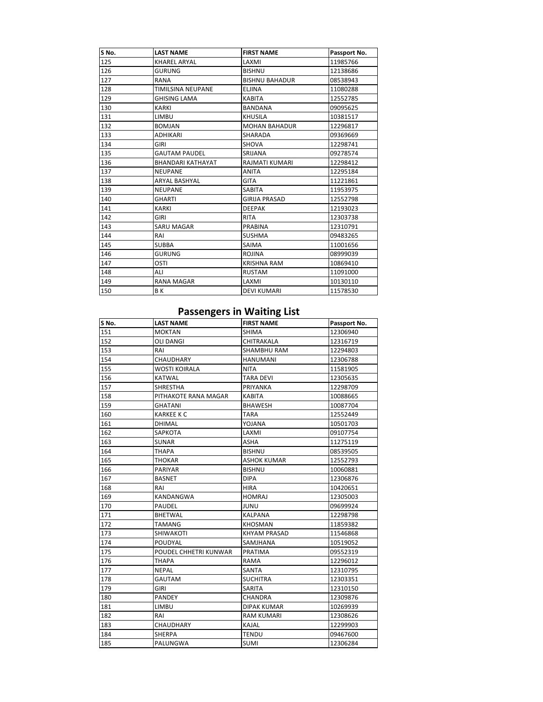| S No. | <b>LAST NAME</b>         | <b>FIRST NAME</b>     | Passport No. |
|-------|--------------------------|-----------------------|--------------|
| 125   | <b>KHAREL ARYAL</b>      | LAXMI                 | 11985766     |
| 126   | <b>GURUNG</b>            | <b>BISHNU</b>         | 12138686     |
| 127   | RANA                     | <b>BISHNU BAHADUR</b> | 08538943     |
| 128   | <b>TIMILSINA NEUPANE</b> | <b>ELJINA</b>         | 11080288     |
| 129   | <b>GHISING LAMA</b>      | <b>KABITA</b>         | 12552785     |
| 130   | <b>KARKI</b>             | <b>BANDANA</b>        | 09095625     |
| 131   | LIMBU                    | <b>KHUSILA</b>        | 10381517     |
| 132   | <b>BOMJAN</b>            | <b>MOHAN BAHADUR</b>  | 12296817     |
| 133   | <b>ADHIKARI</b>          | SHARADA               | 09369669     |
| 134   | GIRI                     | <b>SHOVA</b>          | 12298741     |
| 135   | <b>GAUTAM PAUDEL</b>     | SRIJANA               | 09278574     |
| 136   | <b>BHANDARI KATHAYAT</b> | RAJMATI KUMARI        | 12298412     |
| 137   | <b>NEUPANE</b>           | <b>ANITA</b>          | 12295184     |
| 138   | <b>ARYAL BASHYAL</b>     | <b>GITA</b>           | 11221861     |
| 139   | <b>NEUPANE</b>           | SABITA                | 11953975     |
| 140   | <b>GHARTI</b>            | <b>GIRLIA PRASAD</b>  | 12552798     |
| 141   | <b>KARKI</b>             | <b>DEEPAK</b>         | 12193023     |
| 142   | <b>GIRI</b>              | <b>RITA</b>           | 12303738     |
| 143   | <b>SARU MAGAR</b>        | <b>PRABINA</b>        | 12310791     |
| 144   | RAI                      | <b>SUSHMA</b>         | 09483265     |
| 145   | <b>SUBBA</b>             | SAIMA                 | 11001656     |
| 146   | <b>GURUNG</b>            | <b>ROJINA</b>         | 08999039     |
| 147   | OSTI                     | <b>KRISHNA RAM</b>    | 10869410     |
| 148   | ALI                      | <b>RUSTAM</b>         | 11091000     |
| 149   | <b>RANA MAGAR</b>        | LAXMI                 | 10130110     |
| 150   | ΒK                       | <b>DEVI KUMARI</b>    | 11578530     |

## **Passengers in Waiting List**

| S No. | <b>LAST NAME</b>      | <b>FIRST NAME</b>   | Passport No. |
|-------|-----------------------|---------------------|--------------|
| 151   | <b>MOKTAN</b>         | <b>SHIMA</b>        | 12306940     |
| 152   | OLI DANGI             | CHITRAKALA          | 12316719     |
| 153   | RAI                   | SHAMBHU RAM         | 12294803     |
| 154   | CHAUDHARY             | <b>HANUMANI</b>     | 12306788     |
| 155   | <b>WOSTI KOIRALA</b>  | <b>NITA</b>         | 11581905     |
| 156   | KATWAL                | <b>TARA DEVI</b>    | 12305635     |
| 157   | SHRESTHA              | <b>PRIYANKA</b>     | 12298709     |
| 158   | PITHAKOTE RANA MAGAR  | <b>KABITA</b>       | 10088665     |
| 159   | <b>GHATANI</b>        | <b>BHAWESH</b>      | 10087704     |
| 160   | <b>KARKEE K C</b>     | <b>TARA</b>         | 12552449     |
| 161   | DHIMAL                | YOJANA              | 10501703     |
| 162   | SAPKOTA               | LAXMI               | 09107754     |
| 163   | SUNAR                 | <b>ASHA</b>         | 11275119     |
| 164   | ТНАРА                 | <b>BISHNU</b>       | 08539505     |
| 165   | THOKAR                | ASHOK KUMAR         | 12552793     |
| 166   | <b>PARIYAR</b>        | <b>BISHNU</b>       | 10060881     |
| 167   | <b>BASNET</b>         | <b>DIPA</b>         | 12306876     |
| 168   | RAI                   | <b>HIRA</b>         | 10420651     |
| 169   | KANDANGWA             | <b>HOMRAJ</b>       | 12305003     |
| 170   | <b>PAUDEL</b>         | <b>JUNU</b>         | 09699924     |
| 171   | <b>BHETWAL</b>        | <b>KALPANA</b>      | 12298798     |
| 172   | TAMANG                | <b>KHOSMAN</b>      | 11859382     |
| 173   | SHIWAKOTI             | <b>KHYAM PRASAD</b> | 11546868     |
| 174   | POUDYAL               | SAMJHANA            | 10519052     |
| 175   | POUDEL CHHETRI KUNWAR | PRATIMA             | 09552319     |
| 176   | <b>THAPA</b>          | RAMA                | 12296012     |
| 177   | <b>NEPAL</b>          | SANTA               | 12310795     |
| 178   | <b>GAUTAM</b>         | <b>SUCHITRA</b>     | 12303351     |
| 179   | <b>GIRI</b>           | SARITA              | 12310150     |
| 180   | <b>PANDEY</b>         | <b>CHANDRA</b>      | 12309876     |
| 181   | <b>LIMBU</b>          | <b>DIPAK KUMAR</b>  | 10269939     |
| 182   | RAI                   | RAM KUMARI          | 12308626     |
| 183   | CHAUDHARY             | <b>KAJAL</b>        | 12299903     |
| 184   | <b>SHERPA</b>         | <b>TENDU</b>        | 09467600     |
| 185   | PALUNGWA              | <b>SUMI</b>         | 12306284     |